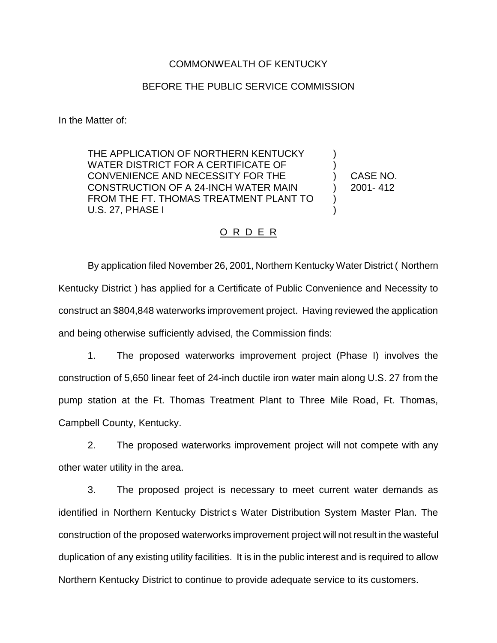## COMMONWEALTH OF KENTUCKY

## BEFORE THE PUBLIC SERVICE COMMISSION

In the Matter of:

THE APPLICATION OF NORTHERN KENTUCKY WATER DISTRICT FOR A CERTIFICATE OF CONVENIENCE AND NECESSITY FOR THE CONSTRUCTION OF A 24-INCH WATER MAIN FROM THE FT. THOMAS TREATMENT PLANT TO U.S. 27, PHASE I

CASE NO. 2001- 412

) ) ) ) ) )

## O R D E R

By application filed November 26, 2001, Northern Kentucky Water District ( Northern Kentucky District ) has applied for a Certificate of Public Convenience and Necessity to construct an \$804,848 waterworks improvement project. Having reviewed the application and being otherwise sufficiently advised, the Commission finds:

1. The proposed waterworks improvement project (Phase I) involves the construction of 5,650 linear feet of 24-inch ductile iron water main along U.S. 27 from the pump station at the Ft. Thomas Treatment Plant to Three Mile Road, Ft. Thomas, Campbell County, Kentucky.

2. The proposed waterworks improvement project will not compete with any other water utility in the area.

3. The proposed project is necessary to meet current water demands as identified in Northern Kentucky District s Water Distribution System Master Plan. The construction of the proposed waterworks improvement project will not result in the wasteful duplication of any existing utility facilities. It is in the public interest and is required to allow Northern Kentucky District to continue to provide adequate service to its customers.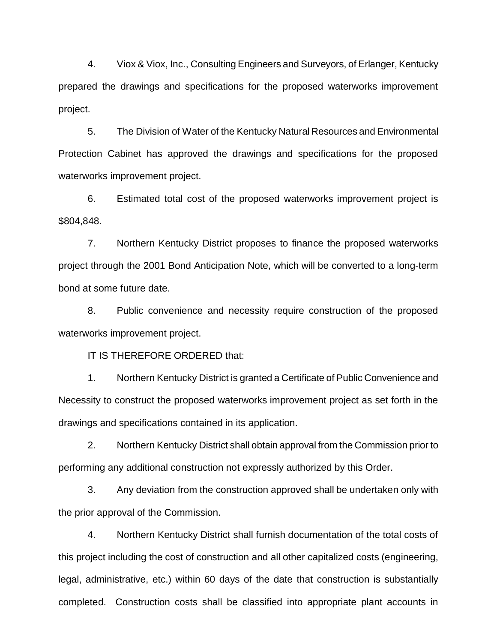4. Viox & Viox, Inc., Consulting Engineers and Surveyors, of Erlanger, Kentucky prepared the drawings and specifications for the proposed waterworks improvement project.

5. The Division of Water of the Kentucky Natural Resources and Environmental Protection Cabinet has approved the drawings and specifications for the proposed waterworks improvement project.

6. Estimated total cost of the proposed waterworks improvement project is \$804,848.

7. Northern Kentucky District proposes to finance the proposed waterworks project through the 2001 Bond Anticipation Note, which will be converted to a long-term bond at some future date.

8. Public convenience and necessity require construction of the proposed waterworks improvement project.

IT IS THEREFORE ORDERED that:

1. Northern Kentucky District is granted a Certificate of Public Convenience and Necessity to construct the proposed waterworks improvement project as set forth in the drawings and specifications contained in its application.

2. Northern Kentucky District shall obtain approval from the Commission prior to performing any additional construction not expressly authorized by this Order.

3. Any deviation from the construction approved shall be undertaken only with the prior approval of the Commission.

4. Northern Kentucky District shall furnish documentation of the total costs of this project including the cost of construction and all other capitalized costs (engineering, legal, administrative, etc.) within 60 days of the date that construction is substantially completed. Construction costs shall be classified into appropriate plant accounts in